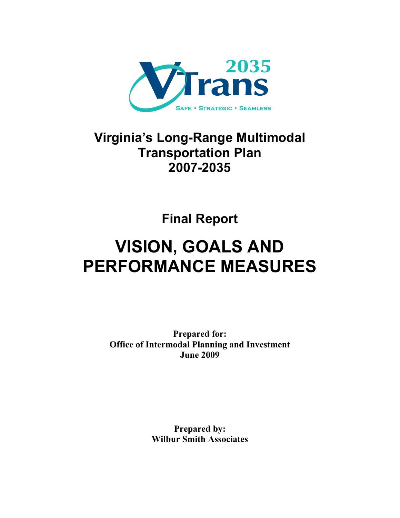

## **Virginia's Long-Range Multimodal Transportation Plan 2007-2035**

**Final Report** 

# **VISION, GOALS AND PERFORMANCE MEASURES**

**Prepared for: Office of Intermodal Planning and Investment June 2009** 

> **Prepared by: Wilbur Smith Associates**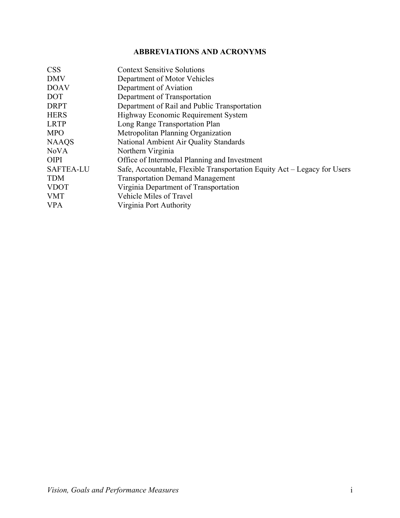### **ABBREVIATIONS AND ACRONYMS**

| <b>CSS</b>       | <b>Context Sensitive Solutions</b>                                       |
|------------------|--------------------------------------------------------------------------|
| <b>DMV</b>       | Department of Motor Vehicles                                             |
| <b>DOAV</b>      | Department of Aviation                                                   |
| <b>DOT</b>       | Department of Transportation                                             |
| <b>DRPT</b>      | Department of Rail and Public Transportation                             |
| <b>HERS</b>      | Highway Economic Requirement System                                      |
| <b>LRTP</b>      | Long Range Transportation Plan                                           |
| <b>MPO</b>       | Metropolitan Planning Organization                                       |
| <b>NAAQS</b>     | National Ambient Air Quality Standards                                   |
| <b>NoVA</b>      | Northern Virginia                                                        |
| <b>OIPI</b>      | Office of Intermodal Planning and Investment                             |
| <b>SAFTEA-LU</b> | Safe, Accountable, Flexible Transportation Equity Act – Legacy for Users |
| <b>TDM</b>       | <b>Transportation Demand Management</b>                                  |
| <b>VDOT</b>      | Virginia Department of Transportation                                    |
| <b>VMT</b>       | Vehicle Miles of Travel                                                  |
| <b>VPA</b>       | Virginia Port Authority                                                  |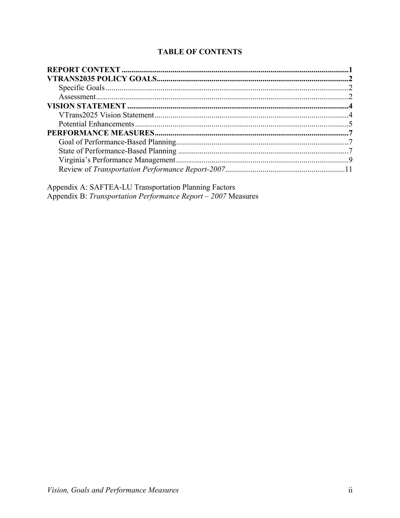## **TABLE OF CONTENTS**

Appendix A: SAFTEA-LU Transportation Planning Factors<br>Appendix B: Transportation Performance Report - 2007 Measures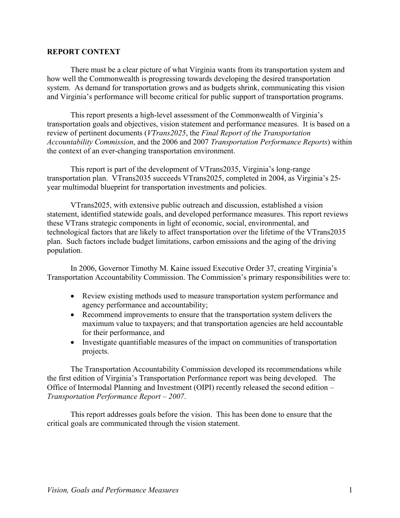#### **REPORT CONTEXT**

 There must be a clear picture of what Virginia wants from its transportation system and how well the Commonwealth is progressing towards developing the desired transportation system. As demand for transportation grows and as budgets shrink, communicating this vision and Virginia's performance will become critical for public support of transportation programs.

 This report presents a high-level assessment of the Commonwealth of Virginia's transportation goals and objectives, vision statement and performance measures. It is based on a review of pertinent documents (*VTrans2025*, the *Final Report of the Transportation Accountability Commission*, and the 2006 and 2007 *Transportation Performance Reports*) within the context of an ever-changing transportation environment.

 This report is part of the development of VTrans2035, Virginia's long-range transportation plan. VTrans2035 succeeds VTrans2025, completed in 2004, as Virginia's 25 year multimodal blueprint for transportation investments and policies.

 VTrans2025, with extensive public outreach and discussion, established a vision statement, identified statewide goals, and developed performance measures. This report reviews these VTrans strategic components in light of economic, social, environmental, and technological factors that are likely to affect transportation over the lifetime of the VTrans2035 plan. Such factors include budget limitations, carbon emissions and the aging of the driving population.

 In 2006, Governor Timothy M. Kaine issued Executive Order 37, creating Virginia's Transportation Accountability Commission. The Commission's primary responsibilities were to:

- Review existing methods used to measure transportation system performance and agency performance and accountability;
- Recommend improvements to ensure that the transportation system delivers the maximum value to taxpayers; and that transportation agencies are held accountable for their performance, and
- Investigate quantifiable measures of the impact on communities of transportation projects.

 The Transportation Accountability Commission developed its recommendations while the first edition of Virginia's Transportation Performance report was being developed. The Office of Intermodal Planning and Investment (OIPI) recently released the second edition – *Transportation Performance Report – 2007*.

 This report addresses goals before the vision. This has been done to ensure that the critical goals are communicated through the vision statement.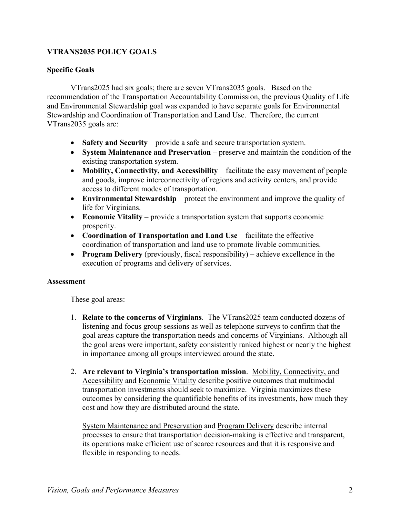#### **VTRANS2035 POLICY GOALS**

#### **Specific Goals**

 VTrans2025 had six goals; there are seven VTrans2035 goals. Based on the recommendation of the Transportation Accountability Commission, the previous Quality of Life and Environmental Stewardship goal was expanded to have separate goals for Environmental Stewardship and Coordination of Transportation and Land Use. Therefore, the current VTrans2035 goals are:

- **Safety and Security** provide a safe and secure transportation system.
- **System Maintenance and Preservation** preserve and maintain the condition of the existing transportation system.
- **Mobility, Connectivity, and Accessibility** facilitate the easy movement of people and goods, improve interconnectivity of regions and activity centers, and provide access to different modes of transportation.
- **Environmental Stewardship** protect the environment and improve the quality of life for Virginians.
- **Economic Vitality** provide a transportation system that supports economic prosperity.
- **Coordination of Transportation and Land Use** facilitate the effective coordination of transportation and land use to promote livable communities.
- **Program Delivery** (previously, fiscal responsibility) achieve excellence in the execution of programs and delivery of services.

#### **Assessment**

These goal areas:

- 1. **Relate to the concerns of Virginians**. The VTrans2025 team conducted dozens of listening and focus group sessions as well as telephone surveys to confirm that the goal areas capture the transportation needs and concerns of Virginians. Although all the goal areas were important, safety consistently ranked highest or nearly the highest in importance among all groups interviewed around the state.
- 2. **Are relevant to Virginia's transportation mission**. Mobility, Connectivity, and Accessibility and Economic Vitality describe positive outcomes that multimodal transportation investments should seek to maximize. Virginia maximizes these outcomes by considering the quantifiable benefits of its investments, how much they cost and how they are distributed around the state.

System Maintenance and Preservation and Program Delivery describe internal processes to ensure that transportation decision-making is effective and transparent, its operations make efficient use of scarce resources and that it is responsive and flexible in responding to needs.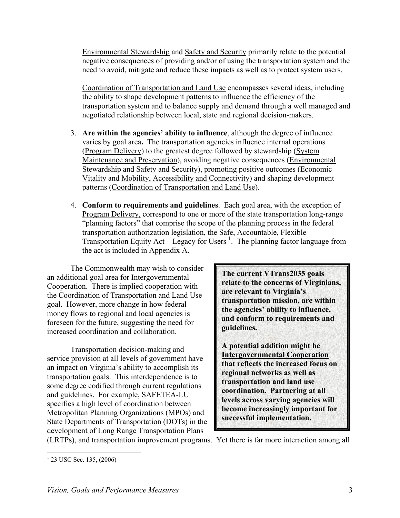Environmental Stewardship and Safety and Security primarily relate to the potential negative consequences of providing and/or of using the transportation system and the need to avoid, mitigate and reduce these impacts as well as to protect system users.

Coordination of Transportation and Land Use encompasses several ideas, including the ability to shape development patterns to influence the efficiency of the transportation system and to balance supply and demand through a well managed and negotiated relationship between local, state and regional decision-makers.

- 3. **Are within the agencies' ability to influence**, although the degree of influence varies by goal area**.** The transportation agencies influence internal operations (Program Delivery) to the greatest degree followed by stewardship (System Maintenance and Preservation), avoiding negative consequences (Environmental Stewardship and Safety and Security), promoting positive outcomes (Economic Vitality and Mobility, Accessibility and Connectivity) and shaping development patterns (Coordination of Transportation and Land Use).
- 4. **Conform to requirements and guidelines**. Each goal area, with the exception of Program Delivery, correspond to one or more of the state transportation long-range "planning factors" that comprise the scope of the planning process in the federal transportation authorization legislation, the Safe, Accountable, Flexible Transportation Equity Act – Legacy for Users  $<sup>1</sup>$ . The planning factor language from</sup> the act is included in Appendix A.

 The Commonwealth may wish to consider an additional goal area for Intergovernmental Cooperation. There is implied cooperation with the Coordination of Transportation and Land Use goal. However, more change in how federal money flows to regional and local agencies is foreseen for the future, suggesting the need for increased coordination and collaboration.

 Transportation decision-making and service provision at all levels of government have an impact on Virginia's ability to accomplish its transportation goals. This interdependence is to some degree codified through current regulations and guidelines. For example, SAFETEA-LU specifies a high level of coordination between Metropolitan Planning Organizations (MPOs) and State Departments of Transportation (DOTs) in the development of Long Range Transportation Plans

**The current VTrans2035 goals relate to the concerns of Virginians, are relevant to Virginia's transportation mission, are within the agencies' ability to influence, and conform to requirements and guidelines.** 

**A potential addition might be Intergovernmental Cooperation that reflects the increased focus on regional networks as well as transportation and land use coordination. Partnering at all levels across varying agencies will become increasingly important for successful implementation.** 

(LRTPs), and transportation improvement programs. Yet there is far more interaction among all

 $\overline{a}$ <sup>1</sup> 23 USC Sec. 135, (2006)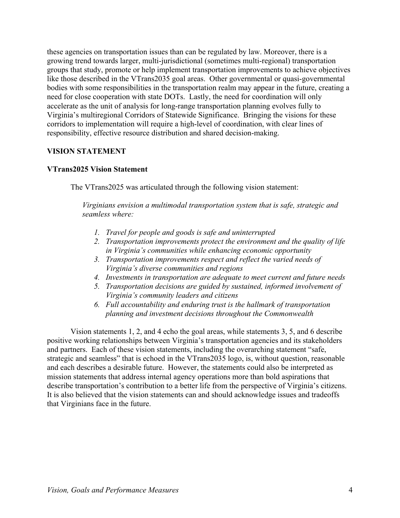these agencies on transportation issues than can be regulated by law. Moreover, there is a growing trend towards larger, multi-jurisdictional (sometimes multi-regional) transportation groups that study, promote or help implement transportation improvements to achieve objectives like those described in the VTrans2035 goal areas. Other governmental or quasi-governmental bodies with some responsibilities in the transportation realm may appear in the future, creating a need for close cooperation with state DOTs. Lastly, the need for coordination will only accelerate as the unit of analysis for long-range transportation planning evolves fully to Virginia's multiregional Corridors of Statewide Significance. Bringing the visions for these corridors to implementation will require a high-level of coordination, with clear lines of responsibility, effective resource distribution and shared decision-making.

#### **VISION STATEMENT**

#### **VTrans2025 Vision Statement**

The VTrans2025 was articulated through the following vision statement:

*Virginians envision a multimodal transportation system that is safe, strategic and seamless where:* 

- *1. Travel for people and goods is safe and uninterrupted*
- *2. Transportation improvements protect the environment and the quality of life in Virginia's communities while enhancing economic opportunity*
- *3. Transportation improvements respect and reflect the varied needs of Virginia's diverse communities and regions*
- *4. Investments in transportation are adequate to meet current and future needs*
- *5. Transportation decisions are guided by sustained, informed involvement of Virginia's community leaders and citizens*
- *6. Full accountability and enduring trust is the hallmark of transportation planning and investment decisions throughout the Commonwealth*

 Vision statements 1, 2, and 4 echo the goal areas, while statements 3, 5, and 6 describe positive working relationships between Virginia's transportation agencies and its stakeholders and partners. Each of these vision statements, including the overarching statement "safe, strategic and seamless" that is echoed in the VTrans2035 logo, is, without question, reasonable and each describes a desirable future. However, the statements could also be interpreted as mission statements that address internal agency operations more than bold aspirations that describe transportation's contribution to a better life from the perspective of Virginia's citizens. It is also believed that the vision statements can and should acknowledge issues and tradeoffs that Virginians face in the future.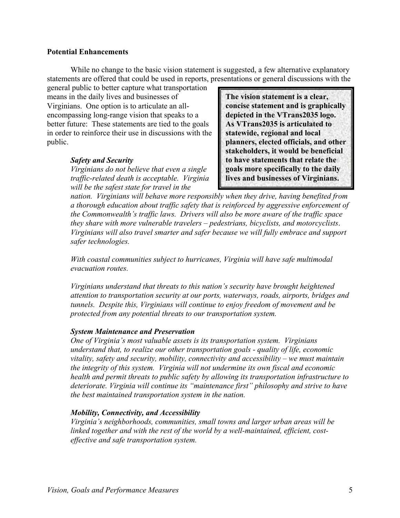#### **Potential Enhancements**

While no change to the basic vision statement is suggested, a few alternative explanatory statements are offered that could be used in reports, presentations or general discussions with the

general public to better capture what transportation means in the daily lives and businesses of Virginians. One option is to articulate an allencompassing long-range vision that speaks to a better future: These statements are tied to the goals in order to reinforce their use in discussions with the public.

#### *Safety and Security*

*Virginians do not believe that even a single traffic-related death is acceptable. Virginia will be the safest state for travel in the* 

**The vision statement is a clear, concise statement and is graphically depicted in the VTrans2035 logo. As VTrans2035 is articulated to statewide, regional and local planners, elected officials, and other stakeholders, it would be beneficial to have statements that relate the goals more specifically to the daily lives and businesses of Virginians.** 

*nation. Virginians will behave more responsibly when they drive, having benefited from a thorough education about traffic safety that is reinforced by aggressive enforcement of the Commonwealth's traffic laws. Drivers will also be more aware of the traffic space they share with more vulnerable travelers – pedestrians, bicyclists, and motorcyclists*. *Virginians will also travel smarter and safer because we will fully embrace and support safer technologies.* 

*With coastal communities subject to hurricanes, Virginia will have safe multimodal evacuation routes.* 

*Virginians understand that threats to this nation's security have brought heightened attention to transportation security at our ports, waterways, roads, airports, bridges and tunnels. Despite this, Virginians will continue to enjoy freedom of movement and be protected from any potential threats to our transportation system.* 

#### *System Maintenance and Preservation*

*One of Virginia's most valuable assets is its transportation system. Virginians understand that, to realize our other transportation goals - quality of life, economic vitality, safety and security, mobility, connectivity and accessibility – we must maintain the integrity of this system. Virginia will not undermine its own fiscal and economic health and permit threats to public safety by allowing its transportation infrastructure to deteriorate. Virginia will continue its "maintenance first" philosophy and strive to have the best maintained transportation system in the nation.* 

#### *Mobility, Connectivity, and Accessibility*

*Virginia's neighborhoods, communities, small towns and larger urban areas will be linked together and with the rest of the world by a well-maintained, efficient, costeffective and safe transportation system.*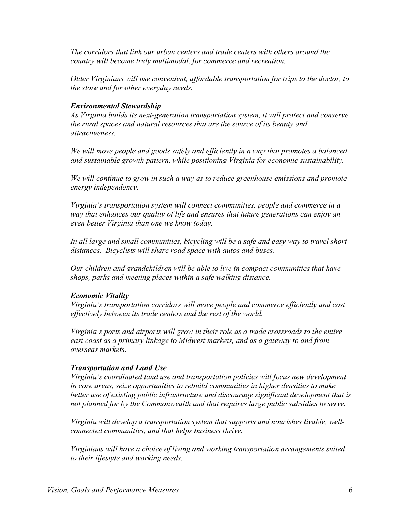*The corridors that link our urban centers and trade centers with others around the country will become truly multimodal, for commerce and recreation.* 

*Older Virginians will use convenient, affordable transportation for trips to the doctor, to the store and for other everyday needs.* 

#### *Environmental Stewardship*

*As Virginia builds its next-generation transportation system, it will protect and conserve the rural spaces and natural resources that are the source of its beauty and attractiveness.* 

*We will move people and goods safely and efficiently in a way that promotes a balanced and sustainable growth pattern, while positioning Virginia for economic sustainability.* 

*We will continue to grow in such a way as to reduce greenhouse emissions and promote energy independency.* 

*Virginia's transportation system will connect communities, people and commerce in a way that enhances our quality of life and ensures that future generations can enjoy an even better Virginia than one we know today.* 

In all large and small communities, bicycling will be a safe and easy way to travel short *distances. Bicyclists will share road space with autos and buses.* 

*Our children and grandchildren will be able to live in compact communities that have shops, parks and meeting places within a safe walking distance.* 

#### *Economic Vitality*

*Virginia's transportation corridors will move people and commerce efficiently and cost effectively between its trade centers and the rest of the world.* 

*Virginia's ports and airports will grow in their role as a trade crossroads to the entire east coast as a primary linkage to Midwest markets, and as a gateway to and from overseas markets.* 

#### *Transportation and Land Use*

*Virginia's coordinated land use and transportation policies will focus new development in core areas, seize opportunities to rebuild communities in higher densities to make better use of existing public infrastructure and discourage significant development that is not planned for by the Commonwealth and that requires large public subsidies to serve.* 

*Virginia will develop a transportation system that supports and nourishes livable, wellconnected communities, and that helps business thrive.* 

*Virginians will have a choice of living and working transportation arrangements suited to their lifestyle and working needs.*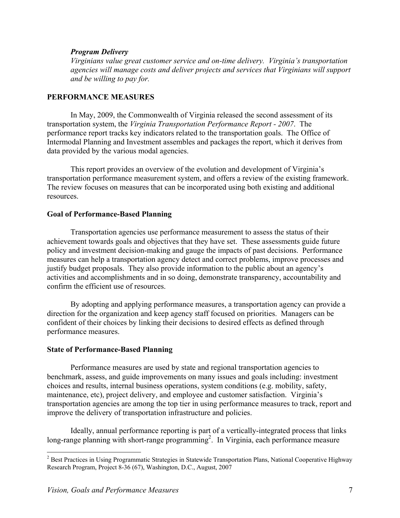#### *Program Delivery*

*Virginians value great customer service and on-time delivery. Virginia's transportation agencies will manage costs and deliver projects and services that Virginians will support and be willing to pay for.* 

#### **PERFORMANCE MEASURES**

 In May, 2009, the Commonwealth of Virginia released the second assessment of its transportation system, the *Virginia Transportation Performance Report - 2007*. The performance report tracks key indicators related to the transportation goals. The Office of Intermodal Planning and Investment assembles and packages the report, which it derives from data provided by the various modal agencies.

 This report provides an overview of the evolution and development of Virginia's transportation performance measurement system, and offers a review of the existing framework. The review focuses on measures that can be incorporated using both existing and additional resources.

#### **Goal of Performance-Based Planning**

 Transportation agencies use performance measurement to assess the status of their achievement towards goals and objectives that they have set. These assessments guide future policy and investment decision-making and gauge the impacts of past decisions. Performance measures can help a transportation agency detect and correct problems, improve processes and justify budget proposals. They also provide information to the public about an agency's activities and accomplishments and in so doing, demonstrate transparency, accountability and confirm the efficient use of resources.

 By adopting and applying performance measures, a transportation agency can provide a direction for the organization and keep agency staff focused on priorities. Managers can be confident of their choices by linking their decisions to desired effects as defined through performance measures.

#### **State of Performance-Based Planning**

 Performance measures are used by state and regional transportation agencies to benchmark, assess, and guide improvements on many issues and goals including: investment choices and results, internal business operations, system conditions (e.g. mobility, safety, maintenance, etc), project delivery, and employee and customer satisfaction. Virginia's transportation agencies are among the top tier in using performance measures to track, report and improve the delivery of transportation infrastructure and policies.

 Ideally, annual performance reporting is part of a vertically-integrated process that links long-range planning with short-range programming<sup>2</sup>. In Virginia, each performance measure

<sup>&</sup>lt;sup>2</sup> Best Practices in Using Programmatic Strategies in Statewide Transportation Plans, National Cooperative Highway Research Program, Project 8-36 (67), Washington, D.C., August, 2007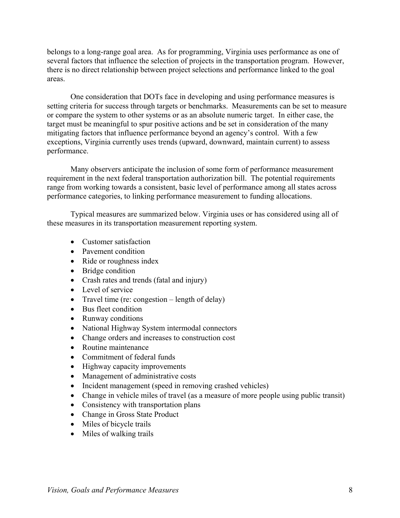belongs to a long-range goal area. As for programming, Virginia uses performance as one of several factors that influence the selection of projects in the transportation program. However, there is no direct relationship between project selections and performance linked to the goal areas.

 One consideration that DOTs face in developing and using performance measures is setting criteria for success through targets or benchmarks. Measurements can be set to measure or compare the system to other systems or as an absolute numeric target. In either case, the target must be meaningful to spur positive actions and be set in consideration of the many mitigating factors that influence performance beyond an agency's control. With a few exceptions, Virginia currently uses trends (upward, downward, maintain current) to assess performance.

 Many observers anticipate the inclusion of some form of performance measurement requirement in the next federal transportation authorization bill. The potential requirements range from working towards a consistent, basic level of performance among all states across performance categories, to linking performance measurement to funding allocations.

 Typical measures are summarized below. Virginia uses or has considered using all of these measures in its transportation measurement reporting system.

- Customer satisfaction
- Pavement condition
- Ride or roughness index
- Bridge condition
- Crash rates and trends (fatal and injury)
- Level of service
- Travel time (re: congestion length of delay)
- Bus fleet condition
- Runway conditions
- National Highway System intermodal connectors
- Change orders and increases to construction cost
- Routine maintenance
- Commitment of federal funds
- Highway capacity improvements
- Management of administrative costs
- Incident management (speed in removing crashed vehicles)
- Change in vehicle miles of travel (as a measure of more people using public transit)
- Consistency with transportation plans
- Change in Gross State Product
- Miles of bicycle trails
- Miles of walking trails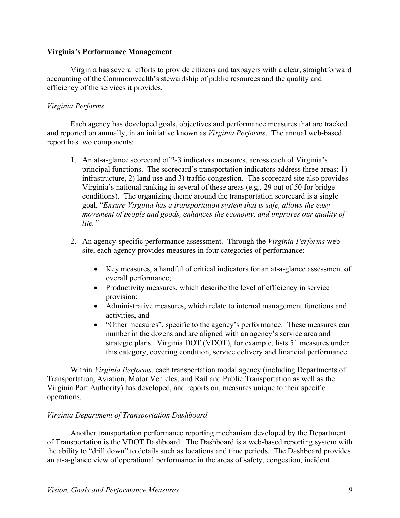#### **Virginia's Performance Management**

 Virginia has several efforts to provide citizens and taxpayers with a clear, straightforward accounting of the Commonwealth's stewardship of public resources and the quality and efficiency of the services it provides.

#### *Virginia Performs*

 Each agency has developed goals, objectives and performance measures that are tracked and reported on annually, in an initiative known as *Virginia Performs*. The annual web-based report has two components:

- 1. An at-a-glance scorecard of 2-3 indicators measures, across each of Virginia's principal functions. The scorecard's transportation indicators address three areas: 1) infrastructure, 2) land use and 3) traffic congestion. The scorecard site also provides Virginia's national ranking in several of these areas (e.g., 29 out of 50 for bridge conditions). The organizing theme around the transportation scorecard is a single goal, "*Ensure Virginia has a transportation system that is safe, allows the easy movement of people and goods, enhances the economy, and improves our quality of life."*
- 2. An agency-specific performance assessment. Through the *Virginia Performs* web site, each agency provides measures in four categories of performance:
	- Key measures, a handful of critical indicators for an at-a-glance assessment of overall performance;
	- Productivity measures, which describe the level of efficiency in service provision;
	- Administrative measures, which relate to internal management functions and activities, and
	- "Other measures", specific to the agency's performance. These measures can number in the dozens and are aligned with an agency's service area and strategic plans. Virginia DOT (VDOT), for example, lists 51 measures under this category, covering condition, service delivery and financial performance.

 Within *Virginia Performs*, each transportation modal agency (including Departments of Transportation, Aviation, Motor Vehicles, and Rail and Public Transportation as well as the Virginia Port Authority) has developed, and reports on, measures unique to their specific operations.

#### *Virginia Department of Transportation Dashboard*

 Another transportation performance reporting mechanism developed by the Department of Transportation is the VDOT Dashboard. The Dashboard is a web-based reporting system with the ability to "drill down" to details such as locations and time periods. The Dashboard provides an at-a-glance view of operational performance in the areas of safety, congestion, incident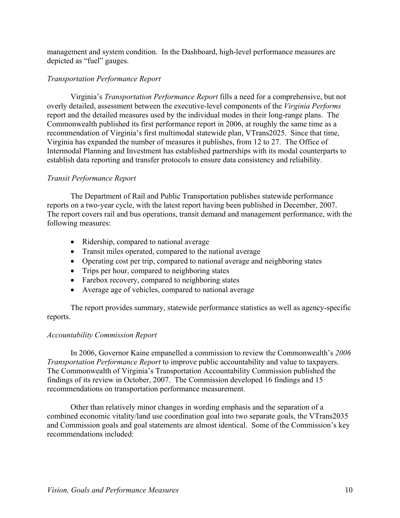management and system condition. In the Dashboard, high-level performance measures are depicted as "fuel" gauges.

#### *Transportation Performance Report*

 Virginia's *Transportation Performance Report* fills a need for a comprehensive, but not overly detailed, assessment between the executive-level components of the *Virginia Performs*  report and the detailed measures used by the individual modes in their long-range plans. The Commonwealth published its first performance report in 2006, at roughly the same time as a recommendation of Virginia's first multimodal statewide plan, VTrans2025. Since that time, Virginia has expanded the number of measures it publishes, from 12 to 27. The Office of Intermodal Planning and Investment has established partnerships with its modal counterparts to establish data reporting and transfer protocols to ensure data consistency and reliability.

#### *Transit Performance Report*

 The Department of Rail and Public Transportation publishes statewide performance reports on a two-year cycle, with the latest report having been published in December, 2007. The report covers rail and bus operations, transit demand and management performance, with the following measures:

- Ridership, compared to national average
- Transit miles operated, compared to the national average
- Operating cost per trip, compared to national average and neighboring states
- Trips per hour, compared to neighboring states
- Farebox recovery, compared to neighboring states
- Average age of vehicles, compared to national average

 The report provides summary, statewide performance statistics as well as agency-specific reports.

#### *Accountability Commission Report*

 In 2006, Governor Kaine empanelled a commission to review the Commonwealth's *2006 Transportation Performance Report* to improve public accountability and value to taxpayers. The Commonwealth of Virginia's Transportation Accountability Commission published the findings of its review in October, 2007. The Commission developed 16 findings and 15 recommendations on transportation performance measurement.

 Other than relatively minor changes in wording emphasis and the separation of a combined economic vitality/land use coordination goal into two separate goals, the VTrans2035 and Commission goals and goal statements are almost identical. Some of the Commission's key recommendations included: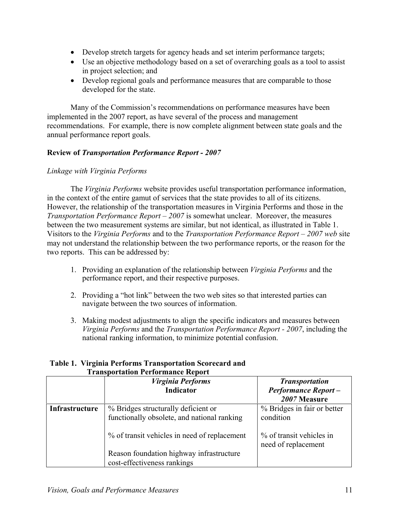- Develop stretch targets for agency heads and set interim performance targets;
- Use an objective methodology based on a set of overarching goals as a tool to assist in project selection; and
- Develop regional goals and performance measures that are comparable to those developed for the state.

 Many of the Commission's recommendations on performance measures have been implemented in the 2007 report, as have several of the process and management recommendations. For example, there is now complete alignment between state goals and the annual performance report goals.

#### **Review of** *Transportation Performance Report - 2007*

#### *Linkage with Virginia Performs*

 The *Virginia Performs* website provides useful transportation performance information, in the context of the entire gamut of services that the state provides to all of its citizens. However, the relationship of the transportation measures in Virginia Performs and those in the *Transportation Performance Report* – *2007* is somewhat unclear. Moreover, the measures between the two measurement systems are similar, but not identical, as illustrated in Table 1. Visitors to the *Virginia Performs* and to the *Transportation Performance Report – 2007 web* site may not understand the relationship between the two performance reports, or the reason for the two reports. This can be addressed by:

- 1. Providing an explanation of the relationship between *Virginia Performs* and the performance report, and their respective purposes.
- 2. Providing a "hot link" between the two web sites so that interested parties can navigate between the two sources of information.
- 3. Making modest adjustments to align the specific indicators and measures between *Virginia Performs* and the *Transportation Performance Report - 2007*, including the national ranking information, to minimize potential confusion.

| Transportation Performance Report |                                              |                                                 |
|-----------------------------------|----------------------------------------------|-------------------------------------------------|
|                                   | <b>Virginia Performs</b>                     | <b>Transportation</b>                           |
|                                   | <b>Indicator</b>                             | <b>Performance Report-</b>                      |
|                                   |                                              | 2007 Measure                                    |
| <b>Infrastructure</b>             | % Bridges structurally deficient or          | % Bridges in fair or better                     |
|                                   | functionally obsolete, and national ranking  | condition                                       |
|                                   | % of transit vehicles in need of replacement | % of transit vehicles in<br>need of replacement |
|                                   | Reason foundation highway infrastructure     |                                                 |
|                                   | cost-effectiveness rankings                  |                                                 |

#### **Table 1. Virginia Performs Transportation Scorecard and Transportation Performance Report**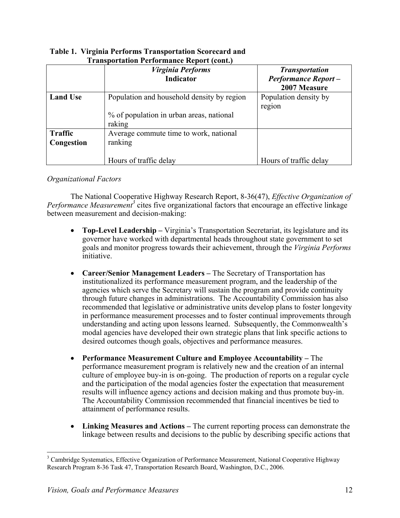|                                                                                   | <b>Virginia Performs</b><br><b>Indicator</b>       | <b>Transportation</b><br><b>Performance Report-</b><br>2007 Measure |
|-----------------------------------------------------------------------------------|----------------------------------------------------|---------------------------------------------------------------------|
| <b>Land Use</b>                                                                   | Population and household density by region         | Population density by<br>region                                     |
|                                                                                   | % of population in urban areas, national<br>raking |                                                                     |
| Average commute time to work, national<br><b>Traffic</b><br>ranking<br>Congestion |                                                    |                                                                     |
|                                                                                   | Hours of traffic delay                             | Hours of traffic delay                                              |

#### **Table 1. Virginia Performs Transportation Scorecard and Transportation Performance Report (cont.)**

#### *Organizational Factors*

 The National Cooperative Highway Research Report, 8-36(47), *Effective Organization of Performance Measurement*<sup>3</sup> cites five organizational factors that encourage an effective linkage between measurement and decision-making:

- **Top-Level Leadership** Virginia's Transportation Secretariat, its legislature and its governor have worked with departmental heads throughout state government to set goals and monitor progress towards their achievement, through the *Virginia Performs*  initiative.
- **Career/Senior Management Leaders** The Secretary of Transportation has institutionalized its performance measurement program, and the leadership of the agencies which serve the Secretary will sustain the program and provide continuity through future changes in administrations. The Accountability Commission has also recommended that legislative or administrative units develop plans to foster longevity in performance measurement processes and to foster continual improvements through understanding and acting upon lessons learned. Subsequently, the Commonwealth's modal agencies have developed their own strategic plans that link specific actions to desired outcomes though goals, objectives and performance measures.
- **Performance Measurement Culture and Employee Accountability** The performance measurement program is relatively new and the creation of an internal culture of employee buy-in is on-going. The production of reports on a regular cycle and the participation of the modal agencies foster the expectation that measurement results will influence agency actions and decision making and thus promote buy-in. The Accountability Commission recommended that financial incentives be tied to attainment of performance results.
- **Linking Measures and Actions** The current reporting process can demonstrate the linkage between results and decisions to the public by describing specific actions that

<sup>&</sup>lt;sup>3</sup> Cambridge Systematics, Effective Organization of Performance Measurement, National Cooperative Highway Research Program 8-36 Task 47, Transportation Research Board, Washington, D.C., 2006.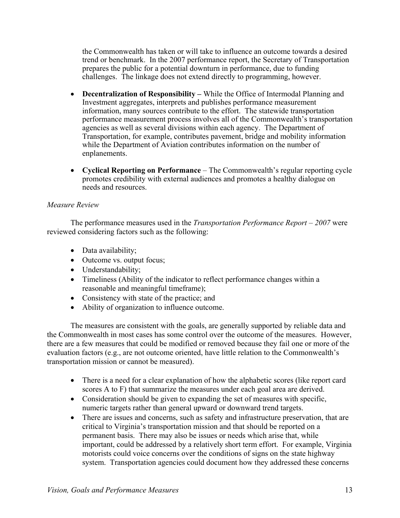the Commonwealth has taken or will take to influence an outcome towards a desired trend or benchmark. In the 2007 performance report, the Secretary of Transportation prepares the public for a potential downturn in performance, due to funding challenges. The linkage does not extend directly to programming, however.

- **Decentralization of Responsibility** While the Office of Intermodal Planning and Investment aggregates, interprets and publishes performance measurement information, many sources contribute to the effort. The statewide transportation performance measurement process involves all of the Commonwealth's transportation agencies as well as several divisions within each agency. The Department of Transportation, for example, contributes pavement, bridge and mobility information while the Department of Aviation contributes information on the number of enplanements.
- **Cyclical Reporting on Performance**  The Commonwealth's regular reporting cycle promotes credibility with external audiences and promotes a healthy dialogue on needs and resources.

#### *Measure Review*

 The performance measures used in the *Transportation Performance Report – 2007* were reviewed considering factors such as the following:

- Data availability;
- Outcome vs. output focus;
- Understandability;
- Timeliness (Ability of the indicator to reflect performance changes within a reasonable and meaningful timeframe);
- Consistency with state of the practice; and
- Ability of organization to influence outcome.

 The measures are consistent with the goals, are generally supported by reliable data and the Commonwealth in most cases has some control over the outcome of the measures. However, there are a few measures that could be modified or removed because they fail one or more of the evaluation factors (e.g., are not outcome oriented, have little relation to the Commonwealth's transportation mission or cannot be measured).

- There is a need for a clear explanation of how the alphabetic scores (like report card scores A to F) that summarize the measures under each goal area are derived.
- Consideration should be given to expanding the set of measures with specific, numeric targets rather than general upward or downward trend targets.
- There are issues and concerns, such as safety and infrastructure preservation, that are critical to Virginia's transportation mission and that should be reported on a permanent basis. There may also be issues or needs which arise that, while important, could be addressed by a relatively short term effort. For example, Virginia motorists could voice concerns over the conditions of signs on the state highway system. Transportation agencies could document how they addressed these concerns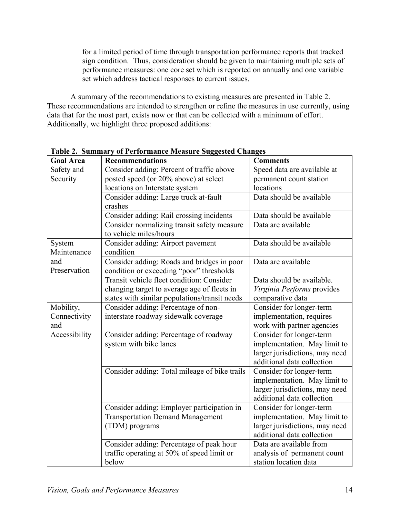for a limited period of time through transportation performance reports that tracked sign condition. Thus, consideration should be given to maintaining multiple sets of performance measures: one core set which is reported on annually and one variable set which address tactical responses to current issues.

 A summary of the recommendations to existing measures are presented in Table 2. These recommendations are intended to strengthen or refine the measures in use currently, using data that for the most part, exists now or that can be collected with a minimum of effort. Additionally, we highlight three proposed additions:

| <b>Goal Area</b> | гаріс 2. бинніцту от і стібі інансе місазите биддезіси Спан<br><b>Recommendations</b> | ະບອ<br><b>Comments</b>         |
|------------------|---------------------------------------------------------------------------------------|--------------------------------|
| Safety and       | Consider adding: Percent of traffic above                                             | Speed data are available at    |
| Security         | posted speed (or 20% above) at select                                                 | permanent count station        |
|                  | locations on Interstate system                                                        | locations                      |
|                  | Consider adding: Large truck at-fault                                                 | Data should be available       |
|                  | crashes                                                                               |                                |
|                  | Consider adding: Rail crossing incidents                                              | Data should be available       |
|                  | Consider normalizing transit safety measure                                           | Data are available             |
|                  | to vehicle miles/hours                                                                |                                |
| System           | Consider adding: Airport pavement                                                     | Data should be available       |
| Maintenance      | condition                                                                             |                                |
| and              | Consider adding: Roads and bridges in poor                                            | Data are available             |
| Preservation     | condition or exceeding "poor" thresholds                                              |                                |
|                  | Transit vehicle fleet condition: Consider                                             | Data should be available.      |
|                  | changing target to average age of fleets in                                           | Virginia Performs provides     |
|                  | states with similar populations/transit needs                                         | comparative data               |
| Mobility,        | Consider adding: Percentage of non-                                                   | Consider for longer-term       |
| Connectivity     | interstate roadway sidewalk coverage                                                  | implementation, requires       |
| and              |                                                                                       | work with partner agencies     |
| Accessibility    | Consider adding: Percentage of roadway                                                | Consider for longer-term       |
|                  | system with bike lanes                                                                | implementation. May limit to   |
|                  |                                                                                       | larger jurisdictions, may need |
|                  |                                                                                       | additional data collection     |
|                  | Consider adding: Total mileage of bike trails                                         | Consider for longer-term       |
|                  |                                                                                       | implementation. May limit to   |
|                  |                                                                                       | larger jurisdictions, may need |
|                  |                                                                                       | additional data collection     |
|                  | Consider adding: Employer participation in                                            | Consider for longer-term       |
|                  | <b>Transportation Demand Management</b>                                               | implementation. May limit to   |
|                  | (TDM) programs                                                                        | larger jurisdictions, may need |
|                  |                                                                                       | additional data collection     |
|                  | Consider adding: Percentage of peak hour                                              | Data are available from        |
|                  | traffic operating at 50% of speed limit or                                            | analysis of permanent count    |
|                  | below                                                                                 | station location data          |

**Table 2. Summary of Performance Measure Suggested Changes**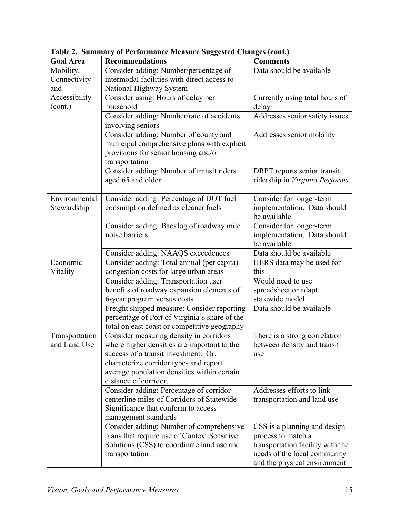| <b>Goal Area</b> | <b>Recommendations</b>                                       | <b>Comments</b>                                                  |
|------------------|--------------------------------------------------------------|------------------------------------------------------------------|
| Mobility,        | Consider adding: Number/percentage of                        | Data should be available                                         |
| Connectivity     | intermodal facilities with direct access to                  |                                                                  |
| and              | National Highway System                                      |                                                                  |
| Accessibility    | Consider using: Hours of delay per                           | Currently using total hours of                                   |
| (cont.)          | household                                                    | delay                                                            |
|                  | Consider adding: Number/rate of accidents                    | Addresses senior safety issues                                   |
|                  | involving seniors                                            |                                                                  |
|                  | Consider adding: Number of county and                        | Addresses senior mobility                                        |
|                  | municipal comprehensive plans with explicit                  |                                                                  |
|                  | provisions for senior housing and/or                         |                                                                  |
|                  | transportation                                               |                                                                  |
|                  | Consider adding: Number of transit riders                    | DRPT reports senior transit                                      |
|                  | aged 65 and older                                            | ridership in Virginia Performs                                   |
|                  |                                                              |                                                                  |
| Environmental    | Consider adding: Percentage of DOT fuel                      | Consider for longer-term                                         |
| Stewardship      | consumption defined as cleaner fuels                         | implementation. Data should                                      |
|                  |                                                              | be available                                                     |
|                  | Consider adding: Backlog of roadway mile<br>noise barriers   | Consider for longer-term<br>implementation. Data should          |
|                  |                                                              | be available                                                     |
|                  | Consider adding: NAAQS exceedences                           | Data should be available                                         |
| Economic         | Consider adding: Total annual (per capita)                   | HERS data may be used for                                        |
| Vitality         | congestion costs for large urban areas                       | this                                                             |
|                  | Consider adding: Transportation user                         | Would need to use                                                |
|                  | benefits of roadway expansion elements of                    | spreadsheet or adapt                                             |
|                  | 6-year program versus costs                                  | statewide model                                                  |
|                  | Freight shipped measure: Consider reporting                  | Data should be available                                         |
|                  | percentage of Port of Virginia's share of the                |                                                                  |
|                  | total on east coast or competitive geography                 |                                                                  |
| Transportation   | Consider measuring density in corridors                      | There is a strong correlation                                    |
| and Land Use     | where higher densities are important to the                  | between density and transit                                      |
|                  | success of a transit investment. Or,                         | use                                                              |
|                  | characterize corridor types and report                       |                                                                  |
|                  | average population densities within certain                  |                                                                  |
|                  | distance of corridor.                                        |                                                                  |
|                  | Consider adding: Percentage of corridor                      | Addresses efforts to link                                        |
|                  | centerline miles of Corridors of Statewide                   | transportation and land use                                      |
|                  | Significance that conform to access                          |                                                                  |
|                  | management standards                                         |                                                                  |
|                  | Consider adding: Number of comprehensive                     | CSS is a planning and design                                     |
|                  |                                                              |                                                                  |
|                  | plans that require use of Context Sensitive                  | process to match a                                               |
|                  | Solutions (CSS) to coordinate land use and<br>transportation | transportation facility with the<br>needs of the local community |

**Table 2. Summary of Performance Measure Suggested Changes (cont.)**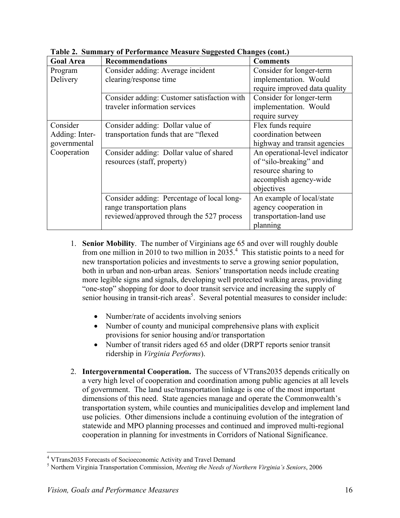| <b>Goal Area</b> | <b>Recommendations</b>                      | <b>Comments</b>                |
|------------------|---------------------------------------------|--------------------------------|
| Program          | Consider adding: Average incident           | Consider for longer-term       |
| Delivery         | clearing/response time                      | implementation. Would          |
|                  |                                             | require improved data quality  |
|                  | Consider adding: Customer satisfaction with | Consider for longer-term       |
|                  | traveler information services               | implementation. Would          |
|                  |                                             | require survey                 |
| Consider         | Consider adding: Dollar value of            | Flex funds require             |
| Adding: Inter-   | transportation funds that are "flexed       | coordination between           |
| governmental     |                                             | highway and transit agencies   |
| Cooperation      | Consider adding: Dollar value of shared     | An operational-level indicator |
|                  | resources (staff, property)                 | of "silo-breaking" and         |
|                  |                                             | resource sharing to            |
|                  |                                             | accomplish agency-wide         |
|                  |                                             | objectives                     |
|                  | Consider adding: Percentage of local long-  | An example of local/state      |
|                  | range transportation plans                  | agency cooperation in          |
|                  | reviewed/approved through the 527 process   | transportation-land use        |
|                  |                                             | planning                       |

**Table 2. Summary of Performance Measure Suggested Changes (cont.)**

- 1. **Senior Mobility**. The number of Virginians age 65 and over will roughly double from one million in 2010 to two million in 2035.<sup>4</sup> This statistic points to a need for new transportation policies and investments to serve a growing senior population, both in urban and non-urban areas. Seniors' transportation needs include creating more legible signs and signals, developing well protected walking areas, providing "one-stop" shopping for door to door transit service and increasing the supply of senior housing in transit-rich areas<sup>5</sup>. Several potential measures to consider include:
	- Number/rate of accidents involving seniors
	- Number of county and municipal comprehensive plans with explicit provisions for senior housing and/or transportation
	- Number of transit riders aged 65 and older (DRPT reports senior transit ridership in *Virginia Performs*).
- 2. **Intergovernmental Cooperation.** The success of VTrans2035 depends critically on a very high level of cooperation and coordination among public agencies at all levels of government. The land use/transportation linkage is one of the most important dimensions of this need. State agencies manage and operate the Commonwealth's transportation system, while counties and municipalities develop and implement land use policies. Other dimensions include a continuing evolution of the integration of statewide and MPO planning processes and continued and improved multi-regional cooperation in planning for investments in Corridors of National Significance.

 4 VTrans2035 Forecasts of Socioeconomic Activity and Travel Demand

<sup>5</sup> Northern Virginia Transportation Commission, *Meeting the Needs of Northern Virginia's Seniors*, 2006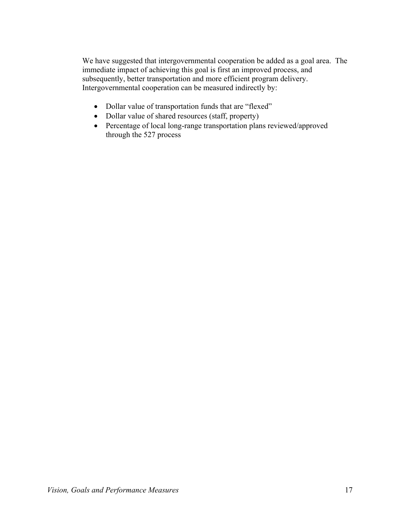We have suggested that intergovernmental cooperation be added as a goal area. The immediate impact of achieving this goal is first an improved process, and subsequently, better transportation and more efficient program delivery. Intergovernmental cooperation can be measured indirectly by:

- Dollar value of transportation funds that are "flexed"
- Dollar value of shared resources (staff, property)
- Percentage of local long-range transportation plans reviewed/approved through the 527 process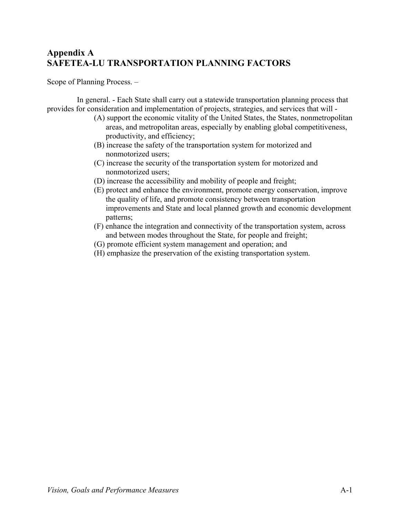## **Appendix A SAFETEA-LU TRANSPORTATION PLANNING FACTORS**

Scope of Planning Process. –

 In general. - Each State shall carry out a statewide transportation planning process that provides for consideration and implementation of projects, strategies, and services that will -

- (A) support the economic vitality of the United States, the States, nonmetropolitan areas, and metropolitan areas, especially by enabling global competitiveness, productivity, and efficiency;
- (B) increase the safety of the transportation system for motorized and nonmotorized users;
- (C) increase the security of the transportation system for motorized and nonmotorized users;
- (D) increase the accessibility and mobility of people and freight;
- (E) protect and enhance the environment, promote energy conservation, improve the quality of life, and promote consistency between transportation improvements and State and local planned growth and economic development patterns;
- (F) enhance the integration and connectivity of the transportation system, across and between modes throughout the State, for people and freight;
- (G) promote efficient system management and operation; and
- (H) emphasize the preservation of the existing transportation system.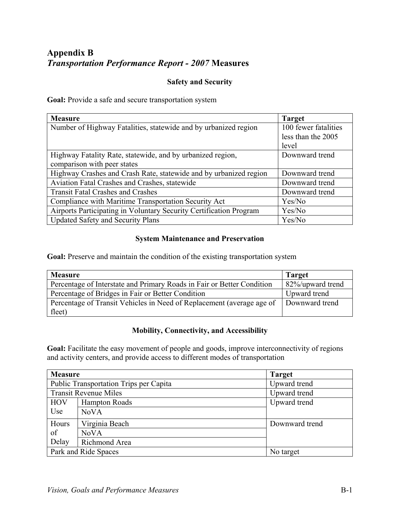## **Appendix B**  *Transportation Performance Report - 2007* **Measures**

#### **Safety and Security**

**Goal:** Provide a safe and secure transportation system

| <b>Measure</b>                                                     | <b>Target</b>        |
|--------------------------------------------------------------------|----------------------|
| Number of Highway Fatalities, statewide and by urbanized region    | 100 fewer fatalities |
|                                                                    | less than the 2005   |
|                                                                    | level                |
| Highway Fatality Rate, statewide, and by urbanized region,         | Downward trend       |
| comparison with peer states                                        |                      |
| Highway Crashes and Crash Rate, statewide and by urbanized region  | Downward trend       |
| Aviation Fatal Crashes and Crashes, statewide                      | Downward trend       |
| <b>Transit Fatal Crashes and Crashes</b>                           | Downward trend       |
| Compliance with Maritime Transportation Security Act               | Yes/No               |
| Airports Participating in Voluntary Security Certification Program | Yes/No               |
| <b>Updated Safety and Security Plans</b>                           | Yes/No               |

#### **System Maintenance and Preservation**

Goal: Preserve and maintain the condition of the existing transportation system

| <b>Measure</b>                                                         | <b>Target</b>    |
|------------------------------------------------------------------------|------------------|
| Percentage of Interstate and Primary Roads in Fair or Better Condition | 82%/upward trend |
| Percentage of Bridges in Fair or Better Condition                      | Upward trend     |
| Percentage of Transit Vehicles in Need of Replacement (average age of  | Downward trend   |
| fleet)                                                                 |                  |

#### **Mobility, Connectivity, and Accessibility**

Goal: Facilitate the easy movement of people and goods, improve interconnectivity of regions and activity centers, and provide access to different modes of transportation

| <b>Measure</b>                                |                      | <b>Target</b>  |
|-----------------------------------------------|----------------------|----------------|
| <b>Public Transportation Trips per Capita</b> |                      | Upward trend   |
| <b>Transit Revenue Miles</b>                  |                      | Upward trend   |
| <b>HOV</b>                                    | <b>Hampton Roads</b> | Upward trend   |
| Use                                           | <b>NoVA</b>          |                |
| Hours                                         | Virginia Beach       | Downward trend |
| of                                            | <b>NoVA</b>          |                |
| Delay                                         | Richmond Area        |                |
| Park and Ride Spaces                          |                      | No target      |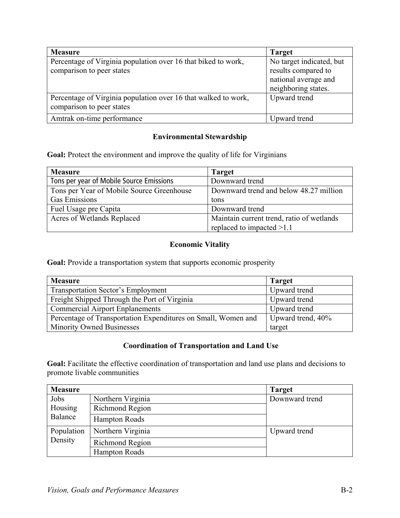| <b>Measure</b>                                                                              | <b>Target</b>                                                                                  |
|---------------------------------------------------------------------------------------------|------------------------------------------------------------------------------------------------|
| Percentage of Virginia population over 16 that biked to work,<br>comparison to peer states  | No target indicated, but<br>results compared to<br>national average and<br>neighboring states. |
| Percentage of Virginia population over 16 that walked to work,<br>comparison to peer states | Upward trend                                                                                   |
| Amtrak on-time performance                                                                  | Upward trend                                                                                   |

#### **Environmental Stewardship**

Goal: Protect the environment and improve the quality of life for Virginians

| <b>Measure</b>                            | <b>Target</b>                             |  |
|-------------------------------------------|-------------------------------------------|--|
| Tons per year of Mobile Source Emissions  | Downward trend                            |  |
| Tons per Year of Mobile Source Greenhouse | Downward trend and below 48.27 million    |  |
| <b>Gas Emissions</b>                      | tons                                      |  |
| Fuel Usage pre Capita                     | Downward trend                            |  |
| Acres of Wetlands Replaced                | Maintain current trend, ratio of wetlands |  |
|                                           | replaced to impacted $>1.1$               |  |

#### **Economic Vitality**

Goal: Provide a transportation system that supports economic prosperity

| <b>Measure</b>                                                | <b>Target</b>        |
|---------------------------------------------------------------|----------------------|
| <b>Transportation Sector's Employment</b>                     | Upward trend         |
| Freight Shipped Through the Port of Virginia                  | Upward trend         |
| <b>Commercial Airport Enplanements</b>                        | Upward trend         |
| Percentage of Transportation Expenditures on Small, Women and | Upward trend, $40\%$ |
| <b>Minority Owned Businesses</b>                              | target               |

#### **Coordination of Transportation and Land Use**

Goal: Facilitate the effective coordination of transportation and land use plans and decisions to promote livable communities

| <b>Measure</b>        |                      | <b>Target</b>  |
|-----------------------|----------------------|----------------|
| Jobs                  | Northern Virginia    | Downward trend |
| Housing<br>Balance    | Richmond Region      |                |
|                       | <b>Hampton Roads</b> |                |
| Population<br>Density | Northern Virginia    | Upward trend   |
|                       | Richmond Region      |                |
|                       | <b>Hampton Roads</b> |                |